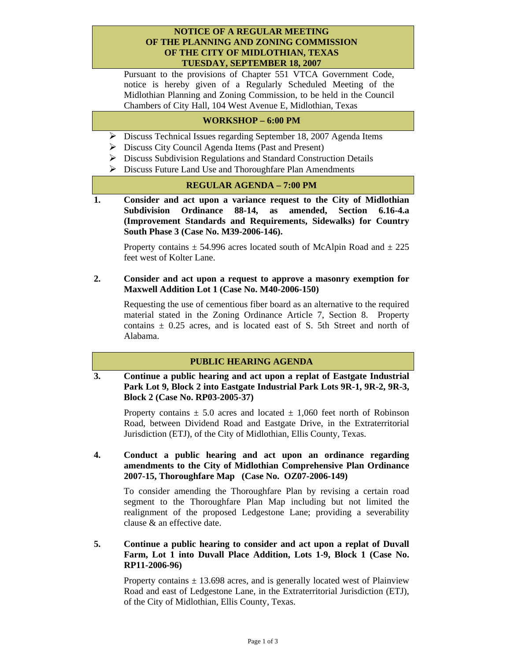#### **NOTICE OF A REGULAR MEETING OF THE PLANNING AND ZONING COMMISSION OF THE CITY OF MIDLOTHIAN, TEXAS TUESDAY, SEPTEMBER 18, 2007**

Pursuant to the provisions of Chapter 551 VTCA Government Code, notice is hereby given of a Regularly Scheduled Meeting of the Midlothian Planning and Zoning Commission, to be held in the Council Chambers of City Hall, 104 West Avenue E, Midlothian, Texas

## **WORKSHOP – 6:00 PM**

- ¾ Discuss Technical Issues regarding September 18, 2007 Agenda Items
- ¾ Discuss City Council Agenda Items (Past and Present)
- $\triangleright$  Discuss Subdivision Regulations and Standard Construction Details
- ¾ Discuss Future Land Use and Thoroughfare Plan Amendments

#### **REGULAR AGENDA – 7:00 PM**

**1. Consider and act upon a variance request to the City of Midlothian Subdivision Ordinance 88-14, as amended, Section 6.16-4.a (Improvement Standards and Requirements, Sidewalks) for Country South Phase 3 (Case No. M39-2006-146).**

Property contains  $\pm$  54.996 acres located south of McAlpin Road and  $\pm$  225 feet west of Kolter Lane.

## **2. Consider and act upon a request to approve a masonry exemption for Maxwell Addition Lot 1 (Case No. M40-2006-150)**

 Requesting the use of cementious fiber board as an alternative to the required material stated in the Zoning Ordinance Article 7, Section 8. Property contains  $\pm$  0.25 acres, and is located east of S. 5th Street and north of Alabama.

# **PUBLIC HEARING AGENDA**

**3. Continue a public hearing and act upon a replat of Eastgate Industrial Park Lot 9, Block 2 into Eastgate Industrial Park Lots 9R-1, 9R-2, 9R-3, Block 2 (Case No. RP03-2005-37)** 

Property contains  $\pm$  5.0 acres and located  $\pm$  1,060 feet north of Robinson Road, between Dividend Road and Eastgate Drive, in the Extraterritorial Jurisdiction (ETJ), of the City of Midlothian, Ellis County, Texas.

## **4. Conduct a public hearing and act upon an ordinance regarding amendments to the City of Midlothian Comprehensive Plan Ordinance 2007-15, Thoroughfare Map (Case No. OZ07-2006-149)**

 To consider amending the Thoroughfare Plan by revising a certain road segment to the Thoroughfare Plan Map including but not limited the realignment of the proposed Ledgestone Lane; providing a severability clause & an effective date.

**5. Continue a public hearing to consider and act upon a replat of Duvall Farm, Lot 1 into Duvall Place Addition, Lots 1-9, Block 1 (Case No. RP11-2006-96)** 

Property contains  $\pm$  13.698 acres, and is generally located west of Plainview Road and east of Ledgestone Lane, in the Extraterritorial Jurisdiction (ETJ), of the City of Midlothian, Ellis County, Texas.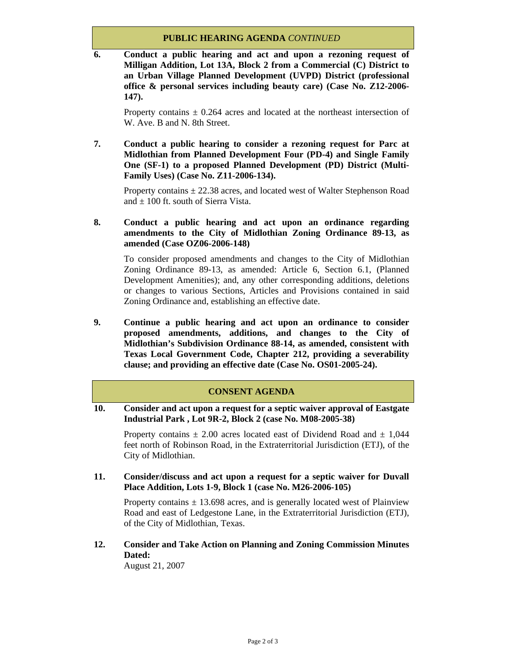#### **PUBLIC HEARING AGENDA** *CONTINUED*

**6. Conduct a public hearing and act and upon a rezoning request of Milligan Addition, Lot 13A, Block 2 from a Commercial (C) District to an Urban Village Planned Development (UVPD) District (professional office & personal services including beauty care) (Case No. Z12-2006- 147).** 

Property contains  $\pm$  0.264 acres and located at the northeast intersection of W. Ave. B and N. 8th Street.

**7. Conduct a public hearing to consider a rezoning request for Parc at Midlothian from Planned Development Four (PD-4) and Single Family One (SF-1) to a proposed Planned Development (PD) District (Multi-Family Uses) (Case No. Z11-2006-134).** 

Property contains  $\pm 22.38$  acres, and located west of Walter Stephenson Road and  $\pm$  100 ft. south of Sierra Vista.

## **8. Conduct a public hearing and act upon an ordinance regarding amendments to the City of Midlothian Zoning Ordinance 89-13, as amended (Case OZ06-2006-148)**

 To consider proposed amendments and changes to the City of Midlothian Zoning Ordinance 89-13, as amended: Article 6, Section 6.1, (Planned Development Amenities); and, any other corresponding additions, deletions or changes to various Sections, Articles and Provisions contained in said Zoning Ordinance and, establishing an effective date.

**9. Continue a public hearing and act upon an ordinance to consider proposed amendments, additions, and changes to the City of Midlothian's Subdivision Ordinance 88-14, as amended, consistent with Texas Local Government Code, Chapter 212, providing a severability clause; and providing an effective date (Case No. OS01-2005-24).** 

## **CONSENT AGENDA**

**10. Consider and act upon a request for a septic waiver approval of Eastgate Industrial Park , Lot 9R-2, Block 2 (case No. M08-2005-38)** 

Property contains  $\pm$  2.00 acres located east of Dividend Road and  $\pm$  1,044 feet north of Robinson Road, in the Extraterritorial Jurisdiction (ETJ), of the City of Midlothian.

**11. Consider/discuss and act upon a request for a septic waiver for Duvall Place Addition, Lots 1-9, Block 1 (case No. M26-2006-105)** 

Property contains  $\pm$  13.698 acres, and is generally located west of Plainview Road and east of Ledgestone Lane, in the Extraterritorial Jurisdiction (ETJ), of the City of Midlothian, Texas.

**12. Consider and Take Action on Planning and Zoning Commission Minutes Dated:** 

August 21, 2007